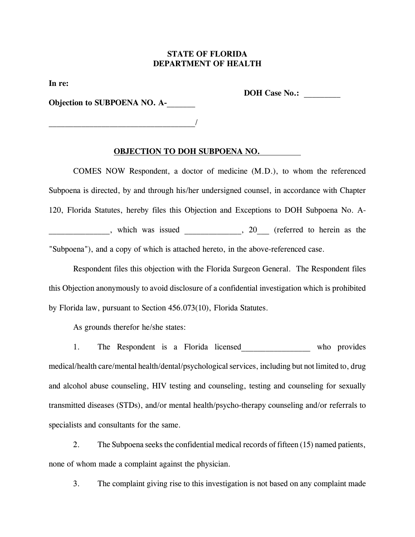## **STATE OF FLORIDA DEPARTMENT OF HEALTH**

**In re:**

**DOH Case No.: \_\_\_\_\_\_\_\_\_**

**Objection to SUBPOENA NO. A-**

 $\overline{\phantom{a}}$ 

## **OBJECTION TO DOH SUBPOENA NO.**

COMES NOW Respondent, a doctor of medicine (M.D.), to whom the referenced Subpoena is directed, by and through his/her undersigned counsel, in accordance with Chapter 120, Florida Statutes, hereby files this Objection and Exceptions to DOH Subpoena No. A which was issued \_\_\_\_\_\_\_\_\_, 20\_\_\_ (referred to herein as the "Subpoena"), and a copy of which is attached hereto, in the above-referenced case.

Respondent files this objection with the Florida Surgeon General. The Respondent files this Objection anonymously to avoid disclosure of a confidential investigation which is prohibited by Florida law, pursuant to Section 456.073(10), Florida Statutes.

As grounds therefor he/she states:

1. The Respondent is a Florida licensed who provides medical/health care/mental health/dental/psychological services, including but not limited to, drug and alcohol abuse counseling, HIV testing and counseling, testing and counseling for sexually transmitted diseases (STDs), and/or mental health/psycho-therapy counseling and/or referrals to specialists and consultants for the same.

2. The Subpoena seeks the confidential medical records of fifteen (15) named patients, none of whom made a complaint against the physician.

3. The complaint giving rise to this investigation is not based on any complaint made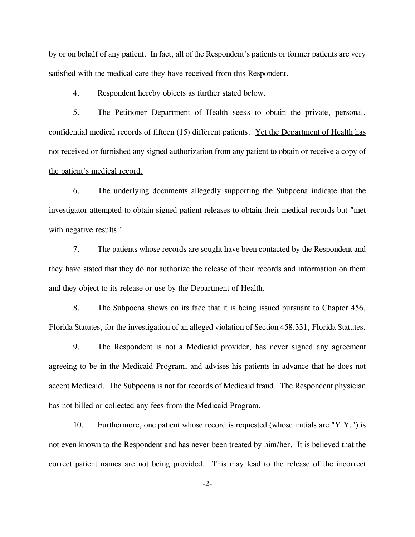by or on behalf of any patient. In fact, all of the Respondent's patients or former patients are very satisfied with the medical care they have received from this Respondent.

4. Respondent hereby objects as further stated below.

5. The Petitioner Department of Health seeks to obtain the private, personal, confidential medical records of fifteen (15) different patients. Yet the Department of Health has not received or furnished any signed authorization from any patient to obtain or receive a copy of the patient's medical record.

6. The underlying documents allegedly supporting the Subpoena indicate that the investigator attempted to obtain signed patient releases to obtain their medical records but "met with negative results."

7. The patients whose records are sought have been contacted by the Respondent and they have stated that they do not authorize the release of their records and information on them and they object to its release or use by the Department of Health.

8. The Subpoena shows on its face that it is being issued pursuant to Chapter 456, Florida Statutes, for the investigation of an alleged violation of Section 458.331, Florida Statutes.

9. The Respondent is not a Medicaid provider, has never signed any agreement agreeing to be in the Medicaid Program, and advises his patients in advance that he does not accept Medicaid. The Subpoena is not for records of Medicaid fraud. The Respondent physician has not billed or collected any fees from the Medicaid Program.

10. Furthermore, one patient whose record is requested (whose initials are "Y.Y.") is not even known to the Respondent and has never been treated by him/her. It is believed that the correct patient names are not being provided. This may lead to the release of the incorrect

-2-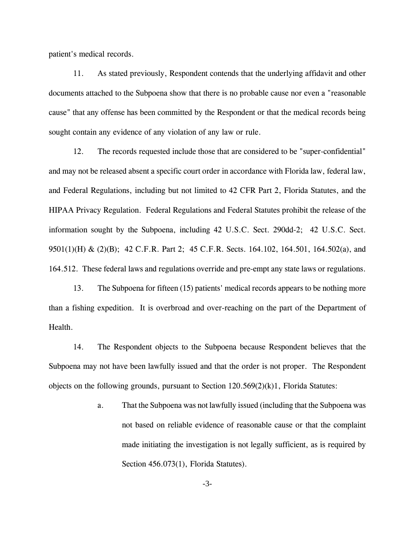patient's medical records.

11. As stated previously, Respondent contends that the underlying affidavit and other documents attached to the Subpoena show that there is no probable cause nor even a "reasonable cause" that any offense has been committed by the Respondent or that the medical records being sought contain any evidence of any violation of any law or rule.

12. The records requested include those that are considered to be "super-confidential" and may not be released absent a specific court order in accordance with Florida law, federal law, and Federal Regulations, including but not limited to 42 CFR Part 2, Florida Statutes, and the HIPAA Privacy Regulation. Federal Regulations and Federal Statutes prohibit the release of the information sought by the Subpoena, including 42 U.S.C. Sect. 290dd-2; 42 U.S.C. Sect. 9501(1)(H) & (2)(B); 42 C.F.R. Part 2; 45 C.F.R. Sects. 164.102, 164.501, 164.502(a), and 164.512. These federal laws and regulations override and pre-empt any state laws or regulations.

13. The Subpoena for fifteen (15) patients' medical records appears to be nothing more than a fishing expedition. It is overbroad and over-reaching on the part of the Department of Health.

14. The Respondent objects to the Subpoena because Respondent believes that the Subpoena may not have been lawfully issued and that the order is not proper. The Respondent objects on the following grounds, pursuant to Section 120.569(2)(k)1, Florida Statutes:

> a. That the Subpoena was not lawfully issued (including that the Subpoena was not based on reliable evidence of reasonable cause or that the complaint made initiating the investigation is not legally sufficient, as is required by Section 456.073(1), Florida Statutes).

> > -3-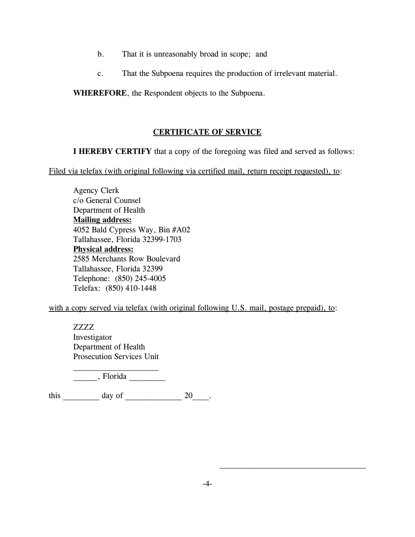- b. That it is unreasonably broad in scope; and
- c. That the Subpoena requires the production of irrelevant material.

**WHEREFORE**, the Respondent objects to the Subpoena.

## **CERTIFICATE OF SERVICE**

**I HEREBY CERTIFY** that a copy of the foregoing was filed and served as follows:

Filed via telefax (with original following via certified mail, return receipt requested), to:

Agency Clerk c/o General Counsel Department of Health **Mailing address:** 4052 Bald Cypress Way, Bin #A02 Tallahassee, Florida 32399-1703 **Physical address:** 2585 Merchants Row Boulevard Tallahassee, Florida 32399 Telephone: (850) 245-4005 Telefax: (850) 410-1448

with a copy served via telefax (with original following U.S. mail, postage prepaid), to:

ZZZZ Investigator Department of Health Prosecution Services Unit

\_\_\_\_\_\_, Florida \_\_\_\_\_\_\_\_\_

this day of 20 and 20